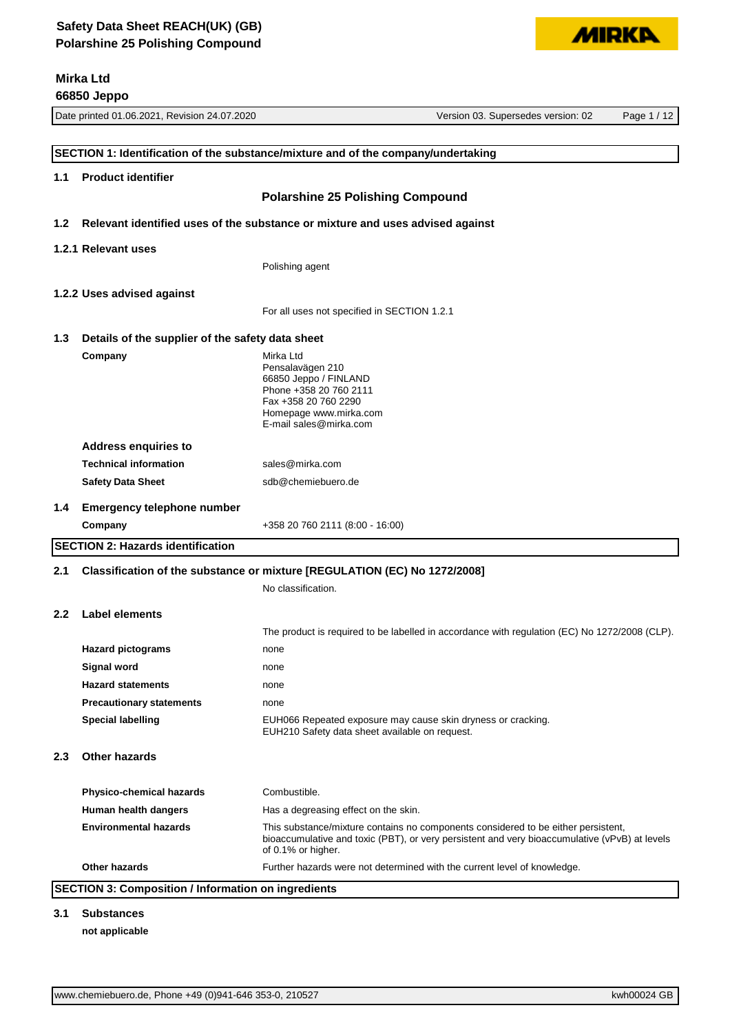# **Mirka Ltd**

|                  | 66850 Jeppo                                      |                                                                                                                                                                                                          |                                    |             |
|------------------|--------------------------------------------------|----------------------------------------------------------------------------------------------------------------------------------------------------------------------------------------------------------|------------------------------------|-------------|
|                  | Date printed 01.06.2021, Revision 24.07.2020     |                                                                                                                                                                                                          | Version 03. Supersedes version: 02 | Page 1 / 12 |
|                  |                                                  |                                                                                                                                                                                                          |                                    |             |
|                  |                                                  | SECTION 1: Identification of the substance/mixture and of the company/undertaking                                                                                                                        |                                    |             |
| 1.1              | <b>Product identifier</b>                        |                                                                                                                                                                                                          |                                    |             |
|                  |                                                  | <b>Polarshine 25 Polishing Compound</b>                                                                                                                                                                  |                                    |             |
| 1.2 <sub>1</sub> |                                                  | Relevant identified uses of the substance or mixture and uses advised against                                                                                                                            |                                    |             |
|                  | 1.2.1 Relevant uses                              |                                                                                                                                                                                                          |                                    |             |
|                  |                                                  | Polishing agent                                                                                                                                                                                          |                                    |             |
|                  |                                                  |                                                                                                                                                                                                          |                                    |             |
|                  | 1.2.2 Uses advised against                       |                                                                                                                                                                                                          |                                    |             |
|                  |                                                  | For all uses not specified in SECTION 1.2.1                                                                                                                                                              |                                    |             |
| 1.3              | Details of the supplier of the safety data sheet |                                                                                                                                                                                                          |                                    |             |
|                  | Company                                          | Mirka Ltd<br>Pensalavägen 210<br>66850 Jeppo / FINLAND<br>Phone +358 20 760 2111<br>Fax +358 20 760 2290<br>Homepage www.mirka.com<br>E-mail sales@mirka.com                                             |                                    |             |
|                  | <b>Address enquiries to</b>                      |                                                                                                                                                                                                          |                                    |             |
|                  | <b>Technical information</b>                     | sales@mirka.com                                                                                                                                                                                          |                                    |             |
|                  | <b>Safety Data Sheet</b>                         | sdb@chemiebuero.de                                                                                                                                                                                       |                                    |             |
| 1.4              | <b>Emergency telephone number</b>                |                                                                                                                                                                                                          |                                    |             |
|                  | Company                                          | +358 20 760 2111 (8:00 - 16:00)                                                                                                                                                                          |                                    |             |
|                  | <b>SECTION 2: Hazards identification</b>         |                                                                                                                                                                                                          |                                    |             |
| 2.1              |                                                  | Classification of the substance or mixture [REGULATION (EC) No 1272/2008]                                                                                                                                |                                    |             |
|                  |                                                  | No classification.                                                                                                                                                                                       |                                    |             |
|                  |                                                  |                                                                                                                                                                                                          |                                    |             |
| $2.2^{\circ}$    | Label elements                                   | The product is required to be labelled in accordance with regulation (EC) No 1272/2008 (CLP).                                                                                                            |                                    |             |
|                  | <b>Hazard pictograms</b>                         | none                                                                                                                                                                                                     |                                    |             |
|                  | Signal word                                      | none                                                                                                                                                                                                     |                                    |             |
|                  | <b>Hazard statements</b>                         | none                                                                                                                                                                                                     |                                    |             |
|                  | <b>Precautionary statements</b>                  | none                                                                                                                                                                                                     |                                    |             |
|                  | <b>Special labelling</b>                         | EUH066 Repeated exposure may cause skin dryness or cracking.<br>EUH210 Safety data sheet available on request.                                                                                           |                                    |             |
| 2.3              | <b>Other hazards</b>                             |                                                                                                                                                                                                          |                                    |             |
|                  | <b>Physico-chemical hazards</b>                  | Combustible.                                                                                                                                                                                             |                                    |             |
|                  | Human health dangers                             | Has a degreasing effect on the skin.                                                                                                                                                                     |                                    |             |
|                  | <b>Environmental hazards</b>                     | This substance/mixture contains no components considered to be either persistent,<br>bioaccumulative and toxic (PBT), or very persistent and very bioaccumulative (vPvB) at levels<br>of 0.1% or higher. |                                    |             |
|                  | Other hazards                                    | Further hazards were not determined with the current level of knowledge.                                                                                                                                 |                                    |             |

# **SECTION 3: Composition / Information on ingredients**

#### **3.1 Substances**

#### **not applicable**

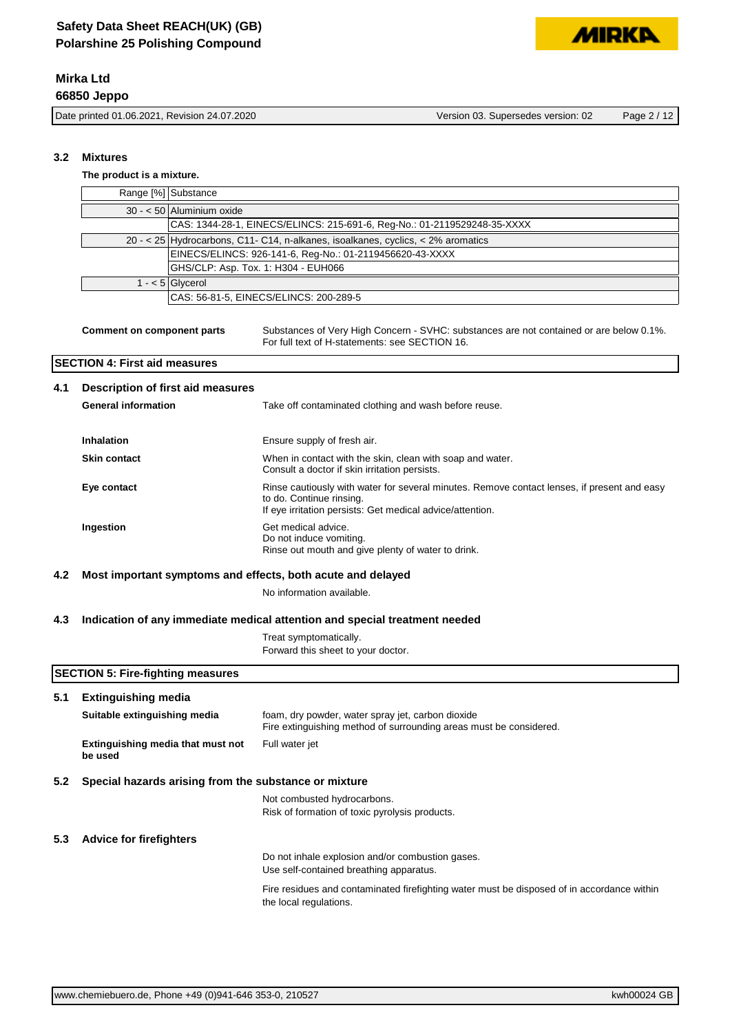**3.2 Mixtures**

Date printed 01.06.2021, Revision 24.07.2020 Version 03. Supersedes version: 02 Page 2 / 12

Range [%] Substance 30 - < 50 Aluminium oxide

**The product is a mixture.**

|                                          |                                      |                                                                                  | CAS: 1344-28-1, EINECS/ELINCS: 215-691-6, Reg-No.: 01-2119529248-35-XXXX                                                                                                             |  |
|------------------------------------------|--------------------------------------|----------------------------------------------------------------------------------|--------------------------------------------------------------------------------------------------------------------------------------------------------------------------------------|--|
|                                          |                                      | 20 - < 25 Hydrocarbons, C11- C14, n-alkanes, isoalkanes, cyclics, < 2% aromatics |                                                                                                                                                                                      |  |
|                                          |                                      | EINECS/ELINCS: 926-141-6, Reg-No.: 01-2119456620-43-XXXX                         |                                                                                                                                                                                      |  |
|                                          |                                      | GHS/CLP: Asp. Tox. 1: H304 - EUH066                                              |                                                                                                                                                                                      |  |
|                                          |                                      | $1 - 5$ Glycerol                                                                 |                                                                                                                                                                                      |  |
|                                          |                                      |                                                                                  | CAS: 56-81-5, EINECS/ELINCS: 200-289-5                                                                                                                                               |  |
|                                          | <b>Comment on component parts</b>    |                                                                                  | Substances of Very High Concern - SVHC: substances are not contained or are below 0.1%.<br>For full text of H-statements: see SECTION 16.                                            |  |
|                                          | <b>SECTION 4: First aid measures</b> |                                                                                  |                                                                                                                                                                                      |  |
| Description of first aid measures<br>4.1 |                                      |                                                                                  |                                                                                                                                                                                      |  |
|                                          | <b>General information</b>           |                                                                                  | Take off contaminated clothing and wash before reuse.                                                                                                                                |  |
|                                          | Inhalation                           |                                                                                  | Ensure supply of fresh air.                                                                                                                                                          |  |
|                                          | <b>Skin contact</b>                  |                                                                                  | When in contact with the skin, clean with soap and water.<br>Consult a doctor if skin irritation persists.                                                                           |  |
|                                          | Eye contact                          |                                                                                  | Rinse cautiously with water for several minutes. Remove contact lenses, if present and easy<br>to do. Continue rinsing.<br>If eye irritation persists: Get medical advice/attention. |  |
|                                          | Ingestion                            |                                                                                  | Get medical advice.<br>Do not induce vomiting.<br>Rinse out mouth and give plenty of water to drink.                                                                                 |  |
| 4.2                                      |                                      |                                                                                  | Most important symptoms and effects, both acute and delayed                                                                                                                          |  |
|                                          |                                      |                                                                                  | No information available.                                                                                                                                                            |  |

#### **4.3 Indication of any immediate medical attention and special treatment needed**

Treat symptomatically. Forward this sheet to your doctor.

#### **SECTION 5: Fire-fighting measures**

# **5.1 Extinguishing media Suitable extinguishing media** foam, dry powder, water spray jet, carbon dioxide Fire extinguishing method of surrounding areas must be considered. **Extinguishing media that must not be used** Full water jet **5.2 Special hazards arising from the substance or mixture** Not combusted hydrocarbons. Risk of formation of toxic pyrolysis products. **5.3 Advice for firefighters** Do not inhale explosion and/or combustion gases. Use self-contained breathing apparatus. Fire residues and contaminated firefighting water must be disposed of in accordance within the local regulations.

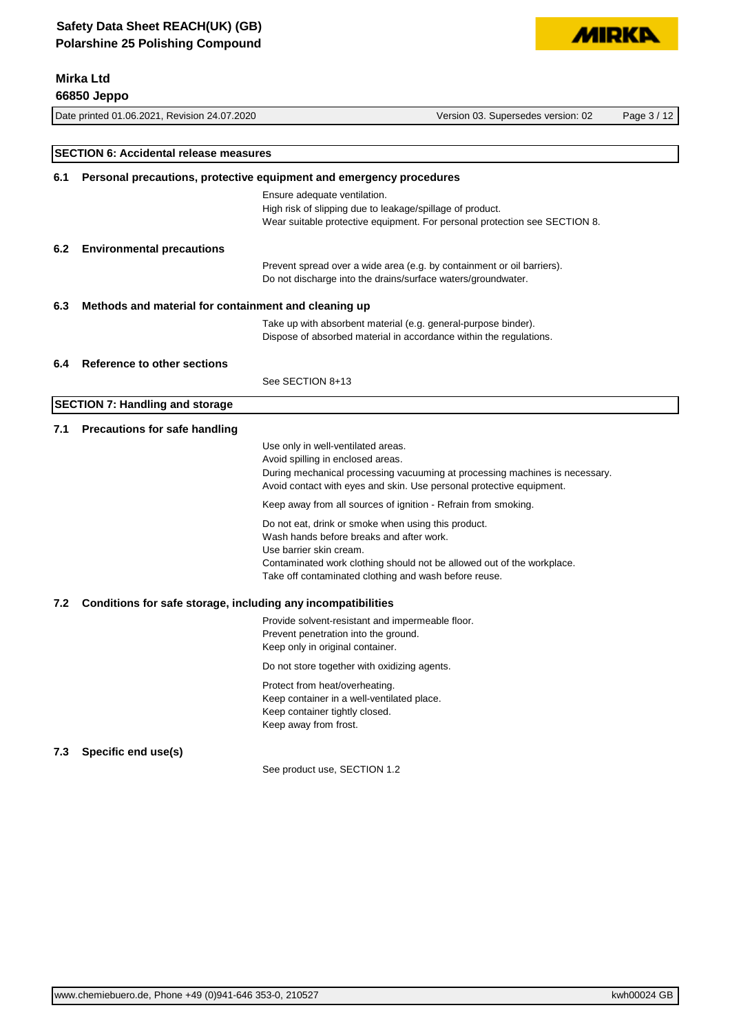# **Mirka Ltd**

|     | 66850 Jeppo                                                         |                                                                                                                                                                                     |                                                                                                                                                     |             |
|-----|---------------------------------------------------------------------|-------------------------------------------------------------------------------------------------------------------------------------------------------------------------------------|-----------------------------------------------------------------------------------------------------------------------------------------------------|-------------|
|     | Date printed 01.06.2021, Revision 24.07.2020                        |                                                                                                                                                                                     | Version 03. Supersedes version: 02                                                                                                                  | Page 3 / 12 |
|     | <b>SECTION 6: Accidental release measures</b>                       |                                                                                                                                                                                     |                                                                                                                                                     |             |
| 6.1 | Personal precautions, protective equipment and emergency procedures |                                                                                                                                                                                     |                                                                                                                                                     |             |
|     |                                                                     | Ensure adequate ventilation.<br>High risk of slipping due to leakage/spillage of product.                                                                                           | Wear suitable protective equipment. For personal protection see SECTION 8.                                                                          |             |
| 6.2 | <b>Environmental precautions</b>                                    |                                                                                                                                                                                     |                                                                                                                                                     |             |
|     |                                                                     | Do not discharge into the drains/surface waters/groundwater.                                                                                                                        | Prevent spread over a wide area (e.g. by containment or oil barriers).                                                                              |             |
| 6.3 | Methods and material for containment and cleaning up                |                                                                                                                                                                                     |                                                                                                                                                     |             |
|     |                                                                     | Take up with absorbent material (e.g. general-purpose binder).<br>Dispose of absorbed material in accordance within the regulations.                                                |                                                                                                                                                     |             |
| 6.4 | Reference to other sections                                         |                                                                                                                                                                                     |                                                                                                                                                     |             |
|     |                                                                     | See SECTION 8+13                                                                                                                                                                    |                                                                                                                                                     |             |
|     | <b>SECTION 7: Handling and storage</b>                              |                                                                                                                                                                                     |                                                                                                                                                     |             |
| 7.1 | <b>Precautions for safe handling</b>                                |                                                                                                                                                                                     |                                                                                                                                                     |             |
|     |                                                                     | Use only in well-ventilated areas.<br>Avoid spilling in enclosed areas.                                                                                                             | During mechanical processing vacuuming at processing machines is necessary.<br>Avoid contact with eyes and skin. Use personal protective equipment. |             |
|     |                                                                     | Keep away from all sources of ignition - Refrain from smoking.                                                                                                                      |                                                                                                                                                     |             |
|     |                                                                     | Do not eat, drink or smoke when using this product.<br>Wash hands before breaks and after work.<br>Use barrier skin cream.<br>Take off contaminated clothing and wash before reuse. | Contaminated work clothing should not be allowed out of the workplace.                                                                              |             |
| 7.2 | Conditions for safe storage, including any incompatibilities        |                                                                                                                                                                                     |                                                                                                                                                     |             |
|     |                                                                     | Provide solvent-resistant and impermeable floor.<br>Prevent penetration into the ground.<br>Keep only in original container.                                                        |                                                                                                                                                     |             |
|     |                                                                     | Do not store together with oxidizing agents.                                                                                                                                        |                                                                                                                                                     |             |
|     |                                                                     | Protect from heat/overheating.<br>Keep container in a well-ventilated place.<br>Keep container tightly closed.<br>Keep away from frost.                                             |                                                                                                                                                     |             |
| 7.3 | Specific end use(s)                                                 |                                                                                                                                                                                     |                                                                                                                                                     |             |
|     |                                                                     | See product use, SECTION 1.2                                                                                                                                                        |                                                                                                                                                     |             |
|     |                                                                     |                                                                                                                                                                                     |                                                                                                                                                     |             |

**MIRKA**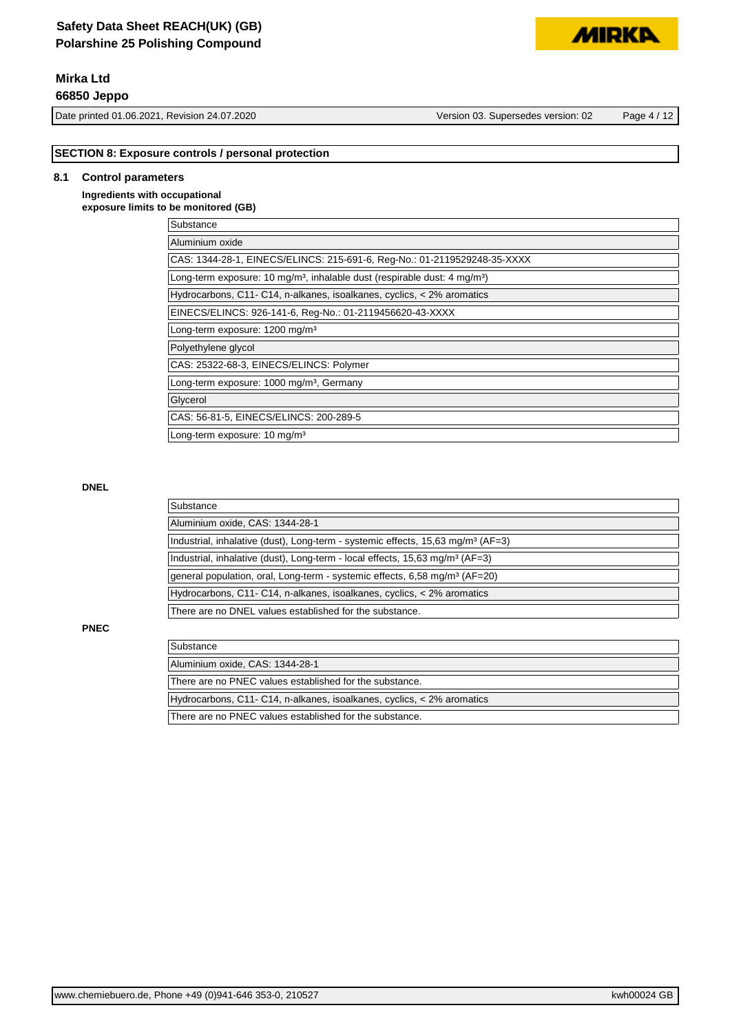# **Safety Data Sheet REACH(UK) (GB) Polarshine 25 Polishing Compound**

# **Mirka Ltd**

**66850 Jeppo**

Date printed 01.06.2021, Revision 24.07.2020 Version 03. Supersedes version: 02 Page 4 / 12

**MIRKP** 

#### **SECTION 8: Exposure controls / personal protection**

#### **8.1 Control parameters**

#### **Ingredients with occupational exposure limits to be monitored (GB)**

| Substance                                                                                         |  |
|---------------------------------------------------------------------------------------------------|--|
| Aluminium oxide                                                                                   |  |
| CAS: 1344-28-1, EINECS/ELINCS: 215-691-6, Reg-No.: 01-2119529248-35-XXXX                          |  |
| Long-term exposure: 10 mg/m <sup>3</sup> , inhalable dust (respirable dust: 4 mg/m <sup>3</sup> ) |  |
| Hydrocarbons, C11- C14, n-alkanes, isoalkanes, cyclics, < 2% aromatics                            |  |
| EINECS/ELINCS: 926-141-6, Req-No.: 01-2119456620-43-XXXX                                          |  |
| Long-term exposure: 1200 mg/m <sup>3</sup>                                                        |  |
| Polyethylene glycol                                                                               |  |
| CAS: 25322-68-3, EINECS/ELINCS: Polymer                                                           |  |
| Long-term exposure: 1000 mg/m <sup>3</sup> , Germany                                              |  |
| Glycerol                                                                                          |  |
| CAS: 56-81-5, EINECS/ELINCS: 200-289-5                                                            |  |
| Long-term exposure: 10 mg/m <sup>3</sup>                                                          |  |

#### **DNEL**

| Substance                                                                                     |  |
|-----------------------------------------------------------------------------------------------|--|
| Aluminium oxide, CAS: 1344-28-1                                                               |  |
| Industrial, inhalative (dust), Long-term - systemic effects, $15,63$ mg/m <sup>3</sup> (AF=3) |  |
| Industrial, inhalative (dust), Long-term - local effects, 15,63 mg/m <sup>3</sup> (AF=3)      |  |
| general population, oral, Long-term - systemic effects, 6,58 mg/m <sup>3</sup> (AF=20)        |  |
| Hydrocarbons, C11- C14, n-alkanes, isoalkanes, cyclics, < 2% aromatics                        |  |
| There are no DNEL values established for the substance.                                       |  |

### **PNEC**

| Substance                                                              |
|------------------------------------------------------------------------|
| Aluminium oxide, CAS: 1344-28-1                                        |
| There are no PNEC values established for the substance.                |
| Hydrocarbons, C11- C14, n-alkanes, isoalkanes, cyclics, < 2% aromatics |
| There are no PNEC values established for the substance.                |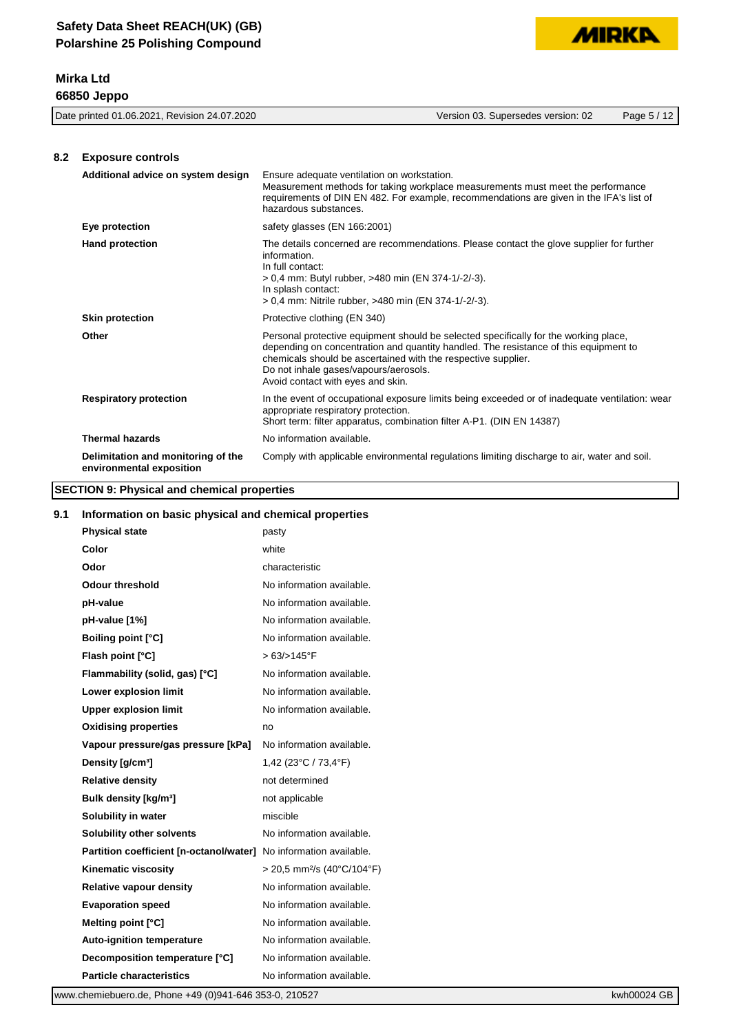| <b>MIRKA</b> |  |
|--------------|--|

| 8.2 | <b>Exposure controls</b>                                       |                                                                                                                                                                                                                                                                                                                             |
|-----|----------------------------------------------------------------|-----------------------------------------------------------------------------------------------------------------------------------------------------------------------------------------------------------------------------------------------------------------------------------------------------------------------------|
|     | Additional advice on system design                             | Ensure adequate ventilation on workstation.<br>Measurement methods for taking workplace measurements must meet the performance<br>requirements of DIN EN 482. For example, recommendations are given in the IFA's list of<br>hazardous substances.                                                                          |
|     | Eye protection                                                 | safety glasses (EN 166:2001)                                                                                                                                                                                                                                                                                                |
|     | <b>Hand protection</b>                                         | The details concerned are recommendations. Please contact the glove supplier for further<br>information.<br>In full contact:<br>> 0,4 mm: Butyl rubber, >480 min (EN 374-1/-2/-3).<br>In splash contact:<br>> 0,4 mm: Nitrile rubber, >480 min (EN 374-1/-2/-3).                                                            |
|     | <b>Skin protection</b>                                         | Protective clothing (EN 340)                                                                                                                                                                                                                                                                                                |
|     | Other                                                          | Personal protective equipment should be selected specifically for the working place,<br>depending on concentration and quantity handled. The resistance of this equipment to<br>chemicals should be ascertained with the respective supplier.<br>Do not inhale gases/vapours/aerosols.<br>Avoid contact with eyes and skin. |
|     | <b>Respiratory protection</b>                                  | In the event of occupational exposure limits being exceeded or of inadequate ventilation: wear<br>appropriate respiratory protection.<br>Short term: filter apparatus, combination filter A-P1. (DIN EN 14387)                                                                                                              |
|     | <b>Thermal hazards</b>                                         | No information available.                                                                                                                                                                                                                                                                                                   |
|     | Delimitation and monitoring of the<br>environmental exposition | Comply with applicable environmental regulations limiting discharge to air, water and soil.                                                                                                                                                                                                                                 |

Date printed 01.06.2021, Revision 24.07.2020 Version 03. Supersedes version: 02 Page 5 / 12

# **SECTION 9: Physical and chemical properties**

#### **9.1 Information on basic physical and chemical properties**

| <b>Physical state</b>                   | pasty                                    |
|-----------------------------------------|------------------------------------------|
| Color                                   | white                                    |
| Odor                                    | characteristic                           |
| <b>Odour threshold</b>                  | No information available.                |
| pH-value                                | No information available.                |
| pH-value [1%]                           | No information available.                |
| <b>Boiling point [°C]</b>               | No information available.                |
| Flash point [°C]                        | > 63/>145°F                              |
| Flammability (solid, gas) [°C]          | No information available.                |
| Lower explosion limit                   | No information available.                |
| <b>Upper explosion limit</b>            | No information available.                |
| <b>Oxidising properties</b>             | no                                       |
| Vapour pressure/gas pressure [kPa]      | No information available.                |
| Density [g/cm <sup>3</sup> ]            | 1,42 $(23^{\circ}C / 73.4^{\circ}F)$     |
| <b>Relative density</b>                 | not determined                           |
| Bulk density [kg/m <sup>3</sup> ]       | not applicable                           |
| Solubility in water                     | miscible                                 |
| Solubility other solvents               | No information available.                |
| Partition coefficient [n-octanol/water] | No information available.                |
| Kinematic viscosity                     | $>$ 20,5 mm <sup>2</sup> /s (40°C/104°F) |
| <b>Relative vapour density</b>          | No information available.                |
| <b>Evaporation speed</b>                | No information available.                |
| Melting point [°C]                      | No information available.                |
| <b>Auto-ignition temperature</b>        | No information available.                |
| Decomposition temperature [°C]          | No information available.                |
| <b>Particle characteristics</b>         | No information available.                |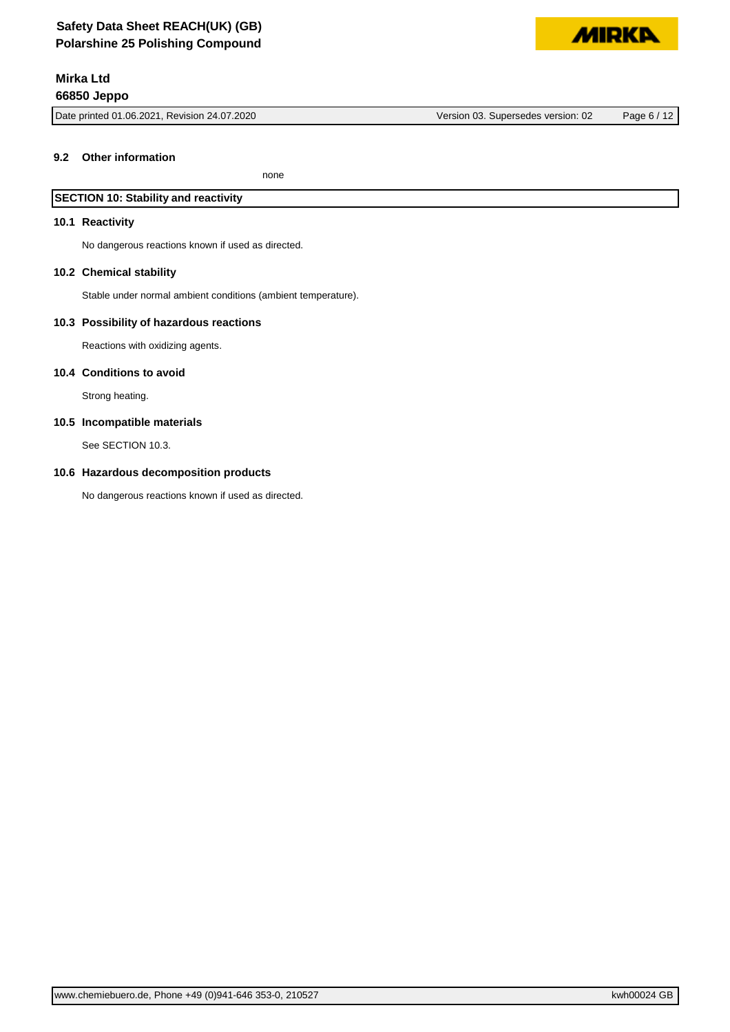Date printed 01.06.2021, Revision 24.07.2020 Version 03. Supersedes version: 02 Page 6 / 12

**MIDKD** 

#### **9.2 Other information**

none

# **SECTION 10: Stability and reactivity**

#### **10.1 Reactivity**

No dangerous reactions known if used as directed.

#### **10.2 Chemical stability**

Stable under normal ambient conditions (ambient temperature).

#### **10.3 Possibility of hazardous reactions**

Reactions with oxidizing agents.

#### **10.4 Conditions to avoid**

Strong heating.

#### **10.5 Incompatible materials**

See SECTION 10.3.

#### **10.6 Hazardous decomposition products**

No dangerous reactions known if used as directed.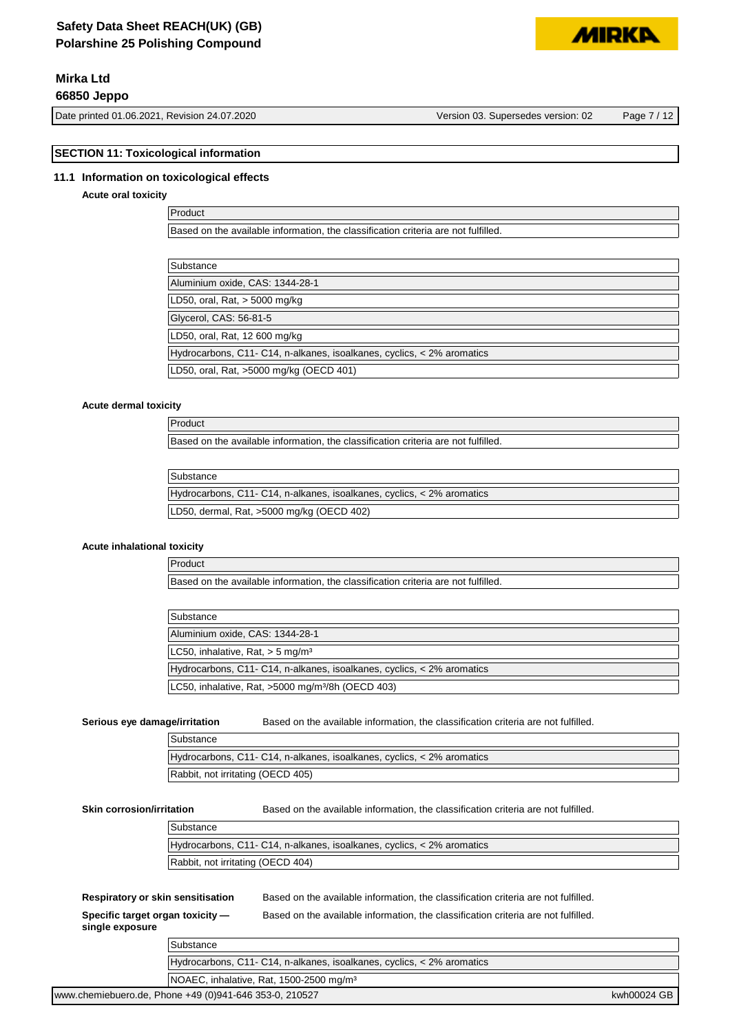# **Safety Data Sheet REACH(UK) (GB) Polarshine 25 Polishing Compound**

# **Mirka Ltd**

# **66850 Jeppo**

Date printed 01.06.2021, Revision 24.07.2020 Version 03. Supersedes version: 02 Page 7 / 12

**SECTION 11: Toxicological information**

#### **11.1 Information on toxicological effects**

#### **Acute oral toxicity**

Product Based on the available information, the classification criteria are not fulfilled.

| Substance                                                              |
|------------------------------------------------------------------------|
| Aluminium oxide, CAS: 1344-28-1                                        |
| LD50, oral, Rat, > 5000 mg/kg                                          |
| Glycerol, CAS: 56-81-5                                                 |
| LD50, oral, Rat, 12 600 mg/kg                                          |
| Hydrocarbons, C11- C14, n-alkanes, isoalkanes, cyclics, < 2% aromatics |
| LD50, oral, Rat, >5000 mg/kg (OECD 401)                                |

#### **Acute dermal toxicity**

Product Based on the available information, the classification criteria are not fulfilled.

| Substance |
|-----------|
|           |

| Supstance                                                                |  |
|--------------------------------------------------------------------------|--|
| Hydrocarbons, C11- C14, n-alkanes, isoalkanes, cyclics, $<$ 2% aromatics |  |
| LD50, dermal, Rat, >5000 mg/kg (OECD 402)                                |  |
|                                                                          |  |

#### **Acute inhalational toxicity**

Product Based on the available information, the classification criteria are not fulfilled.

| Substance                                                              |
|------------------------------------------------------------------------|
| Aluminium oxide, CAS: 1344-28-1                                        |
| LC50, inhalative, Rat, $>$ 5 mg/m <sup>3</sup>                         |
| Hydrocarbons, C11- C14, n-alkanes, isoalkanes, cyclics, < 2% aromatics |
| LC50, inhalative, Rat, >5000 mg/m <sup>3</sup> /8h (OECD 403)          |

**Serious eye damage/irritation** Based on the available information, the classification criteria are not fulfilled.

| Substance                                                              |
|------------------------------------------------------------------------|
| Hydrocarbons, C11- C14, n-alkanes, isoalkanes, cyclics, < 2% aromatics |
| Rabbit, not irritating (OECD 405)                                      |

**Skin corrosion/irritation** Based on the available information, the classification criteria are not fulfilled.

| Substance                                                              |
|------------------------------------------------------------------------|
| Hydrocarbons, C11- C14, n-alkanes, isoalkanes, cyclics, < 2% aromatics |
| Rabbit, not irritating (OECD 404)                                      |

**Respiratory or skin sensitisation** Based on the available information, the classification criteria are not fulfilled.

Based on the available information, the classification criteria are not fulfilled.

**Specific target organ toxicity single exposure**

| Substance                                                              |             |
|------------------------------------------------------------------------|-------------|
| Hydrocarbons, C11- C14, n-alkanes, isoalkanes, cyclics, < 2% aromatics |             |
| NOAEC, inhalative, Rat, 1500-2500 mg/m <sup>3</sup>                    |             |
| www.chemiebuero.de, Phone +49 (0)941-646 353-0, 210527                 | kwh00024 GB |

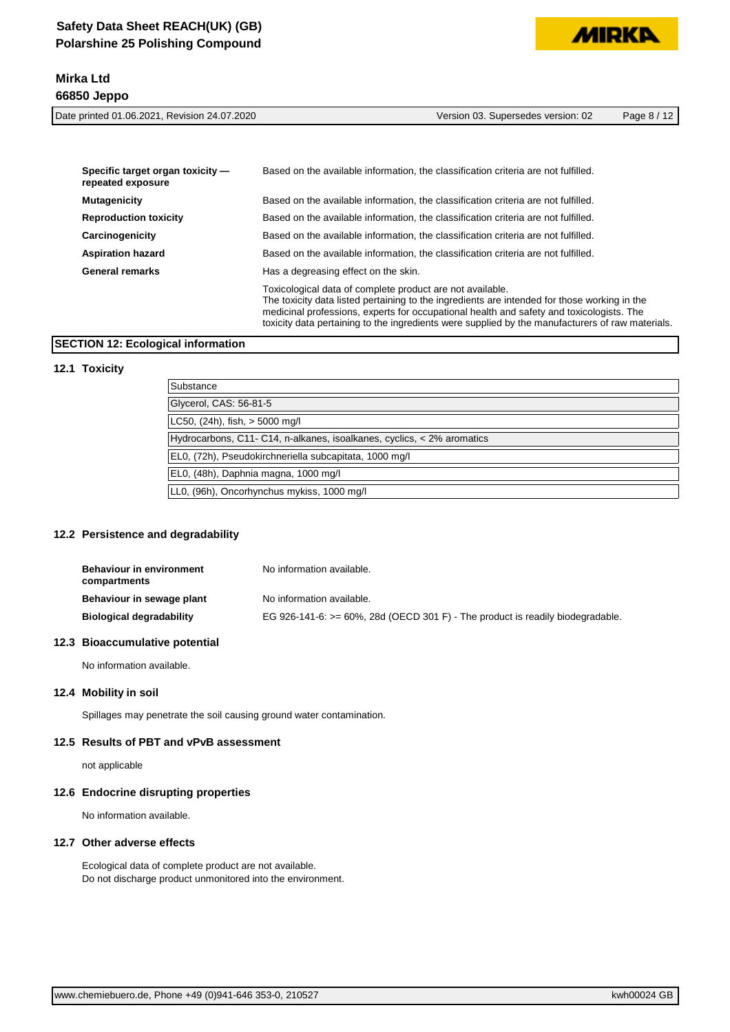



Date printed 01.06.2021, Revision 24.07.2020 Version 03. Supersedes version: 02 Page 8 / 12

| Specific target organ toxicity -<br>repeated exposure | Based on the available information, the classification criteria are not fulfilled.                                                                                                                                                                                                                                                                        |
|-------------------------------------------------------|-----------------------------------------------------------------------------------------------------------------------------------------------------------------------------------------------------------------------------------------------------------------------------------------------------------------------------------------------------------|
| <b>Mutagenicity</b>                                   | Based on the available information, the classification criteria are not fulfilled.                                                                                                                                                                                                                                                                        |
| <b>Reproduction toxicity</b>                          | Based on the available information, the classification criteria are not fulfilled.                                                                                                                                                                                                                                                                        |
| Carcinogenicity                                       | Based on the available information, the classification criteria are not fulfilled.                                                                                                                                                                                                                                                                        |
| <b>Aspiration hazard</b>                              | Based on the available information, the classification criteria are not fulfilled.                                                                                                                                                                                                                                                                        |
| <b>General remarks</b>                                | Has a degreasing effect on the skin.                                                                                                                                                                                                                                                                                                                      |
|                                                       | Toxicological data of complete product are not available.<br>The toxicity data listed pertaining to the ingredients are intended for those working in the<br>medicinal professions, experts for occupational health and safety and toxicologists. The<br>toxicity data pertaining to the ingredients were supplied by the manufacturers of raw materials. |

#### **SECTION 12: Ecological information**

#### **12.1 Toxicity**

| Substance                                                              |
|------------------------------------------------------------------------|
| Glycerol, CAS: 56-81-5                                                 |
| LC50, $(24h)$ , fish, $> 5000$ mg/l                                    |
| Hydrocarbons, C11- C14, n-alkanes, isoalkanes, cyclics, < 2% aromatics |
| EL0, (72h), Pseudokirchneriella subcapitata, 1000 mg/l                 |
| EL0, (48h), Daphnia magna, 1000 mg/l                                   |
| LLO, (96h), Oncorhynchus mykiss, 1000 mg/l                             |

### **12.2 Persistence and degradability**

| Behaviour in environment<br>compartments | No information available.                                                          |
|------------------------------------------|------------------------------------------------------------------------------------|
| Behaviour in sewage plant                | No information available.                                                          |
| Biological degradability                 | EG 926-141-6: $>= 60\%$ , 28d (OECD 301 F) - The product is readily biodegradable. |

#### **12.3 Bioaccumulative potential**

No information available.

#### **12.4 Mobility in soil**

Spillages may penetrate the soil causing ground water contamination.

#### **12.5 Results of PBT and vPvB assessment**

not applicable

#### **12.6 Endocrine disrupting properties**

No information available.

#### **12.7 Other adverse effects**

Ecological data of complete product are not available. Do not discharge product unmonitored into the environment.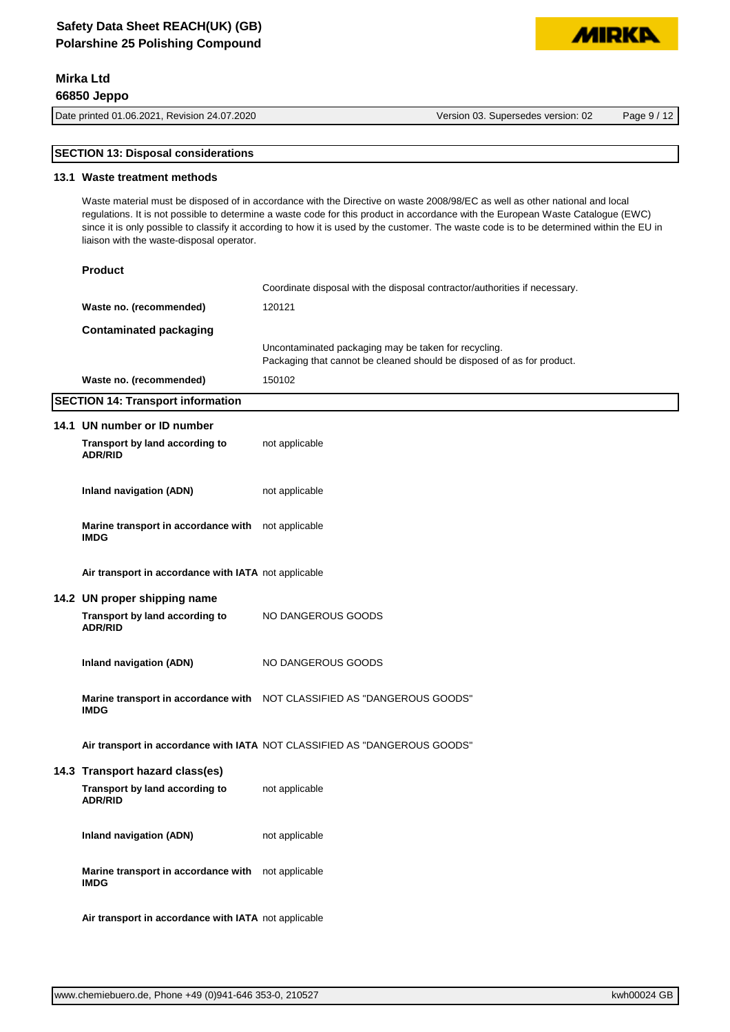# **Safety Data Sheet REACH(UK) (GB) Polarshine 25 Polishing Compound**

# **Mirka Ltd 66850 Jeppo**

Date printed 01.06.2021, Revision 24.07.2020 Version 03. Supersedes version: 02 Page 9 / 12

**MIDKD** 

## **SECTION 13: Disposal considerations**

#### **13.1 Waste treatment methods**

Waste material must be disposed of in accordance with the Directive on waste 2008/98/EC as well as other national and local regulations. It is not possible to determine a waste code for this product in accordance with the European Waste Catalogue (EWC) since it is only possible to classify it according to how it is used by the customer. The waste code is to be determined within the EU in liaison with the waste-disposal operator.

| <b>Product</b>          |                                                                                                                                |
|-------------------------|--------------------------------------------------------------------------------------------------------------------------------|
|                         | Coordinate disposal with the disposal contractor/authorities if necessary.                                                     |
| Waste no. (recommended) | 120121                                                                                                                         |
| Contaminated packaging  |                                                                                                                                |
|                         | Uncontaminated packaging may be taken for recycling.<br>Packaging that cannot be cleaned should be disposed of as for product. |
| Waste no. (recommended) | 150102                                                                                                                         |
|                         |                                                                                                                                |

#### **SECTION 14: Transport information**

| 14.1 UN number or ID number                                                         |                                                                           |
|-------------------------------------------------------------------------------------|---------------------------------------------------------------------------|
| Transport by land according to<br><b>ADR/RID</b>                                    | not applicable                                                            |
| <b>Inland navigation (ADN)</b>                                                      | not applicable                                                            |
| Marine transport in accordance with not applicable<br><b>IMDG</b>                   |                                                                           |
| Air transport in accordance with IATA not applicable                                |                                                                           |
| 14.2 UN proper shipping name<br>Transport by land according to<br><b>ADR/RID</b>    | NO DANGEROUS GOODS                                                        |
| Inland navigation (ADN)                                                             | NO DANGEROUS GOODS                                                        |
| <b>IMDG</b>                                                                         | Marine transport in accordance with NOT CLASSIFIED AS "DANGEROUS GOODS"   |
|                                                                                     | Air transport in accordance with IATA NOT CLASSIFIED AS "DANGEROUS GOODS" |
| 14.3 Transport hazard class(es)<br>Transport by land according to<br><b>ADR/RID</b> | not applicable                                                            |
| Inland navigation (ADN)                                                             | not applicable                                                            |
| Marine transport in accordance with not applicable<br><b>IMDG</b>                   |                                                                           |
| Air transport in accordance with IATA not applicable                                |                                                                           |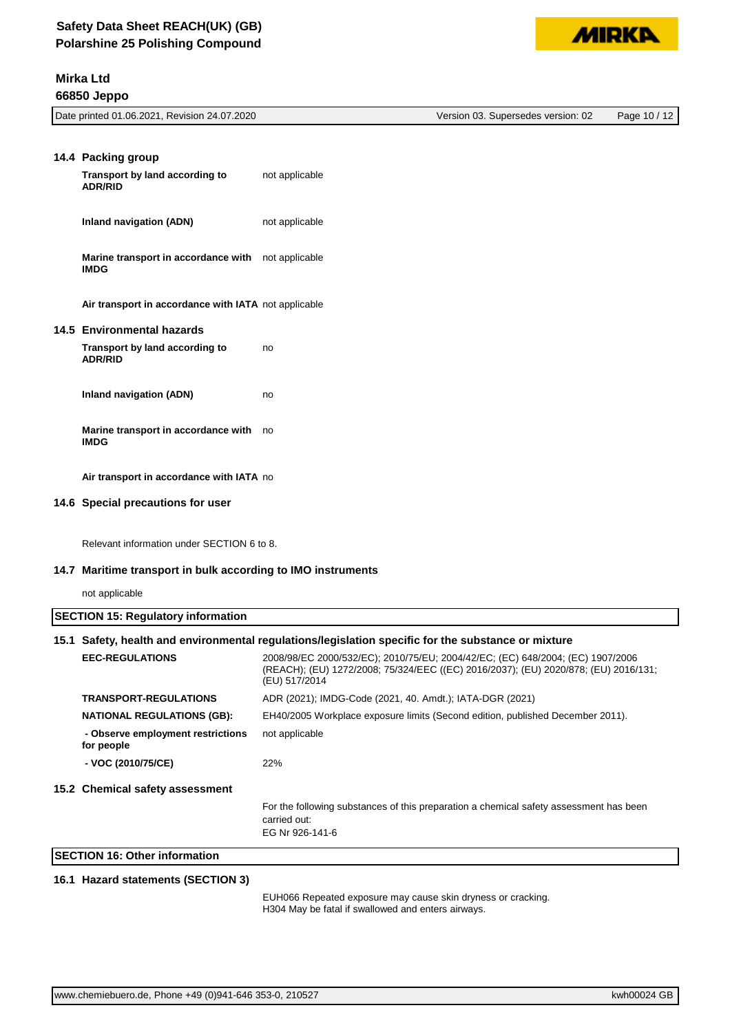|--|

| Date printed 01.06.2021, Revision 24.07.2020 | Version 03. Supersedes version: 02 | Page 10 / 12 |
|----------------------------------------------|------------------------------------|--------------|
|                                              |                                    |              |
|                                              |                                    |              |

| 14.4 Packing group                                                       |                |
|--------------------------------------------------------------------------|----------------|
| Transport by land according to<br><b>ADR/RID</b>                         | not applicable |
| Inland navigation (ADN)                                                  | not applicable |
| <b>Marine transport in accordance with</b> not applicable<br><b>IMDG</b> |                |
| Air transport in accordance with IATA not applicable                     |                |
| 14.5 Environmental hazards                                               |                |
| Transport by land according to<br><b>ADR/RID</b>                         | no             |
| Inland navigation (ADN)                                                  | no             |
| Marine transport in accordance with<br><b>IMDG</b>                       | no             |
| Air transport in accordance with IATA no                                 |                |

#### **14.6 Special precautions for user**

Relevant information under SECTION 6 to 8.

#### **14.7 Maritime transport in bulk according to IMO instruments**

not applicable

| <b>SECTION 15: Regulatory information</b> |                                                                                                     |                                                                                                                                                                                        |
|-------------------------------------------|-----------------------------------------------------------------------------------------------------|----------------------------------------------------------------------------------------------------------------------------------------------------------------------------------------|
|                                           | 15.1 Safety, health and environmental regulations/legislation specific for the substance or mixture |                                                                                                                                                                                        |
|                                           | <b>EEC-REGULATIONS</b>                                                                              | 2008/98/EC 2000/532/EC); 2010/75/EU; 2004/42/EC; (EC) 648/2004; (EC) 1907/2006<br>(REACH); (EU) 1272/2008; 75/324/EEC ((EC) 2016/2037); (EU) 2020/878; (EU) 2016/131;<br>(EU) 517/2014 |
|                                           | <b>TRANSPORT-REGULATIONS</b>                                                                        | ADR (2021); IMDG-Code (2021, 40. Amdt.); IATA-DGR (2021)                                                                                                                               |
|                                           | <b>NATIONAL REGULATIONS (GB):</b>                                                                   | EH40/2005 Workplace exposure limits (Second edition, published December 2011).                                                                                                         |
|                                           | - Observe employment restrictions<br>for people                                                     | not applicable                                                                                                                                                                         |
|                                           | - VOC (2010/75/CE)                                                                                  | 22%                                                                                                                                                                                    |
|                                           | 15.2 Chemical safety assessment                                                                     |                                                                                                                                                                                        |
|                                           |                                                                                                     | For the following substances of this preparation a chemical safety assessment has been<br>carried out:<br>EG Nr 926-141-6                                                              |
|                                           | <b>SECTION 16: Other information</b>                                                                |                                                                                                                                                                                        |

### **16.1 Hazard statements (SECTION 3)**

EUH066 Repeated exposure may cause skin dryness or cracking. H304 May be fatal if swallowed and enters airways.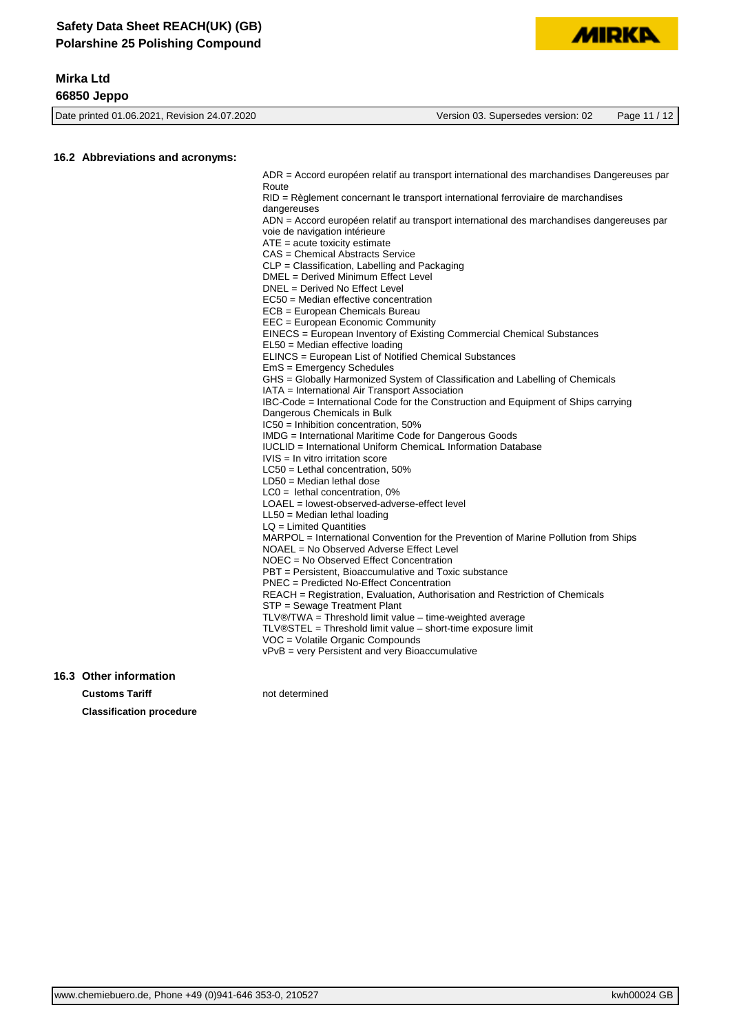# **Mirka Ltd**

**66850 Jeppo**

Date printed 01.06.2021, Revision 24.07.2020 Version 03. Supersedes version: 02 Page 11 / 12 **16.2 Abbreviations and acronyms:** ADR = Accord européen relatif au transport international des marchandises Dangereuses par Route RID = Règlement concernant le transport international ferroviaire de marchandises dangereuses

ADN = Accord européen relatif au transport international des marchandises dangereuses par voie de navigation intérieure

**MIRKI** 

ATE = acute toxicity estimate

CAS = Chemical Abstracts Service

CLP = Classification, Labelling and Packaging

DMEL = Derived Minimum Effect Level

- DNEL = Derived No Effect Level
- EC50 = Median effective concentration
- ECB = European Chemicals Bureau

EEC = European Economic Community EINECS = European Inventory of Existing Commercial Chemical Substances

EL50 = Median effective loading

ELINCS = European List of Notified Chemical Substances

EmS = Emergency Schedules

GHS = Globally Harmonized System of Classification and Labelling of Chemicals

IATA = International Air Transport Association

IBC-Code = International Code for the Construction and Equipment of Ships carrying

Dangerous Chemicals in Bulk

IC50 = Inhibition concentration, 50%

IMDG = International Maritime Code for Dangerous Goods

IUCLID = International Uniform ChemicaL Information Database

- IVIS = In vitro irritation score
- LC50 = Lethal concentration, 50%
- LD50 = Median lethal dose LC0 = lethal concentration, 0%
- LOAEL = lowest-observed-adverse-effect level

LL50 = Median lethal loading

LQ = Limited Quantities

MARPOL = International Convention for the Prevention of Marine Pollution from Ships NOAEL = No Observed Adverse Effect Level

NOEC = No Observed Effect Concentration

PBT = Persistent, Bioaccumulative and Toxic substance

PNEC = Predicted No-Effect Concentration

REACH = Registration, Evaluation, Authorisation and Restriction of Chemicals

STP = Sewage Treatment Plant

TLV®/TWA = Threshold limit value – time-weighted average

- TLV®STEL = Threshold limit value short-time exposure limit
- VOC = Volatile Organic Compounds

vPvB = very Persistent and very Bioaccumulative

#### **16.3 Other information**

**Customs Tariff not determined Classification procedure**